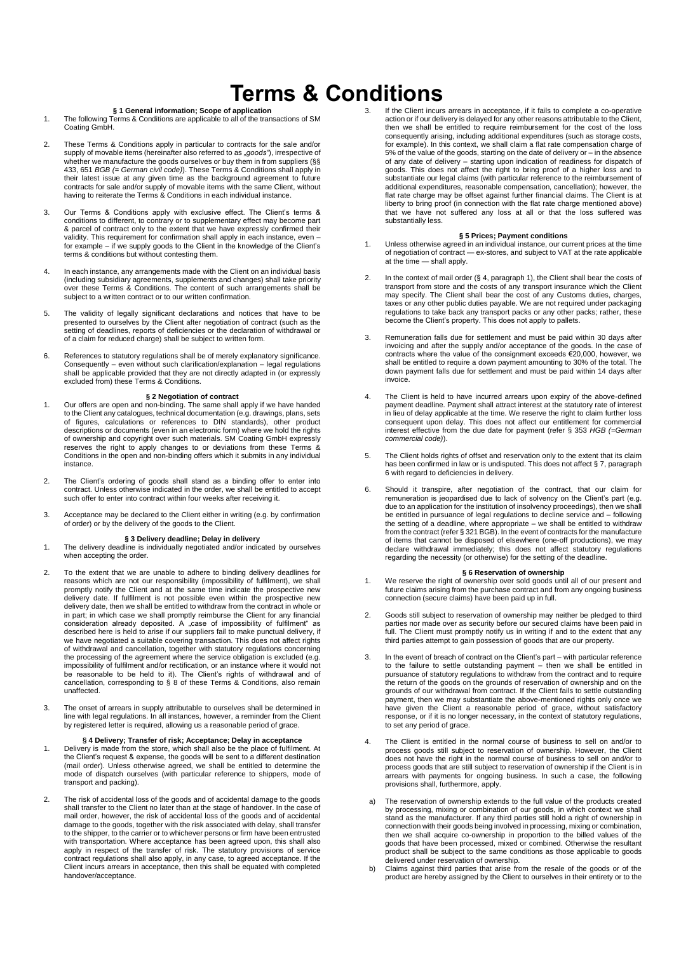# **Terms & Conditions**

- **§ 1 General information; Scope of application**<br>1. The following Terms & Conditions are applicable to all of the transactions of SM Coating GmbH.
- 2. These Terms & Conditions apply in particular to contracts for the sale and/or supply of movable items (hereinafter also referred to as *"goods"*), irrespective of whether we manufacture the goods ourselves or buy them in from suppliers (§§ 433, 651 *BGB (= German civil code)*). These Terms & Conditions shall apply in their latest issue at any given time as the background agreement to future contracts for sale and/or supply of movable items with the same Client, without having to reiterate the Terms & Conditions in each individual instance.
- 3. Our Terms & Conditions apply with exclusive effect. The Client's terms & conditions to different, to contrary or to supplementary effect may become part & parcel of contract only to the extent that we have expressly confirmed their validity. This requirement for confirmation shall apply in each instance, even – for example – if we supply goods to the Client in the knowledge of the Client's terms & conditions but without contesting them.
- 4. In each instance, any arrangements made with the Client on an individual basis (including subsidiary agreements, supplements and changes) shall take priority over these Terms & Conditions. The content of such arrangements shall be subject to a written contract or to our written confirmation.
- 5. The validity of legally significant declarations and notices that have to be presented to ourselves by the Client after negotiation of contract (such as the setting of deadlines, reports of deficiencies or the declaration of withdrawal or of a claim for reduced charge) shall be subject to written form.
- 6. References to statutory regulations shall be of merely explanatory significance. Consequently – even without such clarification/explanation – legal regulations shall be applicable provided that they are not directly adapted in (or expressly excluded from) these Terms & Conditions.

## **§ 2 Negotiation of contract**

- 1. Our offers are open and non-binding. The same shall apply if we have handed to the Client any catalogues, technical documentation (e.g. drawings, plans, sets of figures, calculations or references to DIN standards), other product descriptions or documents (even in an electronic form) where we hold the rights of ownership and copyright over such materials. SM Coating GmbH expressly reserves the right to apply changes to or deviations from these Terms & Conditions in the open and non-binding offers which it submits in any individual instance.
- 2. The Client's ordering of goods shall stand as a binding offer to enter into contract. Unless otherwise indicated in the order, we shall be entitled to accept such offer to enter into contract within four weeks after receiving it.
- 3. Acceptance may be declared to the Client either in writing (e.g. by confirmation of order) or by the delivery of the goods to the Client.

- **§** 3 Delivery deadline; Delay in delivery<br>1. The delivery deadline is individually negotiated and/or indicated by ourselves when accepting the order.
- 2. To the extent that we are unable to adhere to binding delivery deadlines for reasons which are not our responsibility (impossibility of fulfilment), we shall promptly notify the Client and at the same time indicate the prospective new<br>delivery date. If fulfilment is not possible even within the prospective new<br>delivery date, then we shall be entitled to withdraw from the contra in part; in which case we shall promptly reimburse the Client for any financial consideration already deposited. A "case of impossibility of fulfilment" as described here is held to arise if our suppliers fail to make punctual delivery, if we have negotiated a suitable covering transaction. This does not affect rights<br>of withdrawal and cancellation, together with statutory regulations concerning<br>the processing of the agreement where the service obligation is unaffected.
- 3. The onset of arrears in supply attributable to ourselves shall be determined in line with legal regulations. In all instances, however, a reminder from the Client by registered letter is required, allowing us a reasonable period of grace.

# **§ 4 Delivery; Transfer of risk; Acceptance; Delay in acceptance**

- 1. Delivery is made from the store, which shall also be the place of fulfilment. At the Client's request & expense, the goods will be sent to a different destination (mail order). Unless otherwise agreed, we shall be entitled to determine the mode of dispatch ourselves (with particular reference to shippers, mode of transport and packing).
- 2. The risk of accidental loss of the goods and of accidental damage to the goods shall transfer to the Client no later than at the stage of handover. In the case of mail order, however, the risk of accidental loss of the goods and of accidental damage to the goods, together with the risk associated with delay, shall transfer to the shipper, to the carrier or to whichever persons or firm have been entrusted with transportation. Where acceptance has been agreed upon, this shall also apply in respect of the transfer of risk. The statutory provisions of service contract regulations shall also apply, in any case, to agreed acceptance. If the Client incurs arrears in acceptance, then this shall be equated with completed handover/acceptance.

If the Client incurs arrears in acceptance, if it fails to complete a co-operative action or if our delivery is delayed for any other reasons attributable to the Client, then we shall be entitled to require reimbursement for the cost of the loss consequently arising, including additional expenditures (such as storage costs, for example). In this context, we shall claim a flat rate compensation charge of 5% of the value of the goods, starting on the date of delivery or – in the absence of any date of delivery – starting upon indication of readiness for dispatch of<br>goods. This does not affect the right to bring proof of a higher loss and to<br>substantiate our legal claims (with particular reference to the r additional expenditures, reasonable compensation, cancellation); however, the flat rate charge may be offset against further financial claims. The Client is at liberty to bring proof (in connection with the flat rate charge mentioned above) that we have not suffered any loss at all or that the loss suffered was substantially less.

### **§ 5 Prices; Payment conditions**

- 1. Unless otherwise agreed in an individual instance, our current prices at the time of negotiation of contract — ex-stores, and subject to VAT at the rate applicable at the time — shall apply.
- 2. In the context of mail order (§ 4, paragraph 1), the Client shall bear the costs of transport from store and the costs of any transport insurance which the Client may specify. The Client shall bear the cost of any Customs duties, charges, taxes or any other public duties payable. We are not required under packaging regulations to take back any transport packs or any other packs; rather, these become the Client's property. This does not apply to pallets.
- 3. Remuneration falls due for settlement and must be paid within 30 days after invoicing and after the supply and/or acceptance of the goods. In the case of contracts where the value of the consignment exceeds €20,000, however, we shall be entitled to require a down payment amounting to 30% of the total. The down payment falls due for settlement and must be paid within 14 days after invoice.
- 4. The Client is held to have incurred arrears upon expiry of the above-defined payment deadline. Payment shall attract interest at the statutory rate of interest in lieu of delay applicable at the time. We reserve the right to claim further loss consequent upon delay. This does not affect our entitlement for commercial interest effective from the due date for payment (refer § 353 *HGB (=German commercial code)*).
- 5. The Client holds rights of offset and reservation only to the extent that its claim has been confirmed in law or is undisputed. This does not affect § 7, paragraph 6 with regard to deficiencies in delivery.
- 6. Should it transpire, after negotiation of the contract, that our claim for remuneration is jeopardised due to lack of solvency on the Client's part (e.g. due to an application for the institution of insolvency proceedings), then we shall be entitled in pursuance of legal regulations to decline service and – following the setting of a deadline, where appropriate – we shall be entitled to withdraw from the contract (refer § 321 BGB). In the event of contracts for the manufacture of items that cannot be disposed of elsewhere (one-off productions), we may declare withdrawal immediately; this does not affect statutory regulations regarding the necessity (or otherwise) for the setting of the deadline.

## **§ 6 Reservation of ownership**

- 1. We reserve the right of ownership over sold goods until all of our present and future claims arising from the purchase contract and from any ongoing business connection (secure claims) have been paid up in full.
- 2. Goods still subject to reservation of ownership may neither be pledged to third parties nor made over as security before our secured claims have been paid in full. The Client must promptly notify us in writing if and to the extent that any third parties attempt to gain possession of goods that are our property.
- 3. In the event of breach of contract on the Client's part with particular reference<br>to the failure to settle outstanding payment then we shall be entitled in<br>pursuance of statutory regulations to withdraw from the con the return of the goods on the grounds of reservation of ownership and on the grounds of our withdrawal from contract. If the Client fails to settle outstanding payment, then we may substantiate the above-mentioned rights only once we have given the Client a reasonable period of grace, without satisfactory response, or if it is no longer necessary, in the context of statutory regulations, to set any period of grace.
- 4. The Client is entitled in the normal course of business to sell on and/or to process goods still subject to reservation of ownership. However, the Client does not have the right in the normal course of business to sell on and/or to process goods that are still subject to reservation of ownership if the Client is in arrears with payments for ongoing business. In such a case, the following provisions shall, furthermore, apply.
- a) The reservation of ownership extends to the full value of the products created by processing, mixing or combination of our goods, in which context we shall stand as the manufacturer. If any third parties still hold a right of ownership in connection with their goods being involved in processing, mixing or combination, then we shall acquire co-ownership in proportion to the billed values of the goods that have been processed, mixed or combined. Otherwise the resultant product shall be subject to the same conditions as those applicable to goods delivered under reservation of ownership.
- b) Claims against third parties that arise from the resale of the goods or of the product are hereby assigned by the Client to ourselves in their entirety or to the